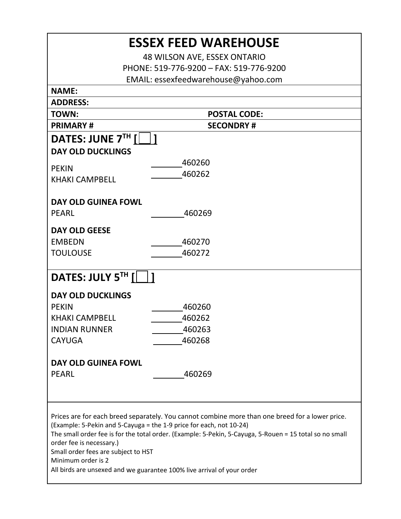| <b>ESSEX FEED WAREHOUSE</b>                                                                                                                                                                                                                                                       |                     |  |  |  |  |  |
|-----------------------------------------------------------------------------------------------------------------------------------------------------------------------------------------------------------------------------------------------------------------------------------|---------------------|--|--|--|--|--|
| 48 WILSON AVE, ESSEX ONTARIO                                                                                                                                                                                                                                                      |                     |  |  |  |  |  |
| PHONE: 519-776-9200 - FAX: 519-776-9200                                                                                                                                                                                                                                           |                     |  |  |  |  |  |
| EMAIL: essexfeedwarehouse@yahoo.com                                                                                                                                                                                                                                               |                     |  |  |  |  |  |
| <b>NAME:</b>                                                                                                                                                                                                                                                                      |                     |  |  |  |  |  |
| <b>ADDRESS:</b>                                                                                                                                                                                                                                                                   |                     |  |  |  |  |  |
| <b>TOWN:</b>                                                                                                                                                                                                                                                                      | <b>POSTAL CODE:</b> |  |  |  |  |  |
| <b>PRIMARY#</b>                                                                                                                                                                                                                                                                   | <b>SECONDRY#</b>    |  |  |  |  |  |
| DATES: JUNE $7TH$ [                                                                                                                                                                                                                                                               |                     |  |  |  |  |  |
| <b>DAY OLD DUCKLINGS</b>                                                                                                                                                                                                                                                          |                     |  |  |  |  |  |
| <b>PEKIN</b>                                                                                                                                                                                                                                                                      | 460260              |  |  |  |  |  |
| <b>KHAKI CAMPBELL</b>                                                                                                                                                                                                                                                             | 460262              |  |  |  |  |  |
|                                                                                                                                                                                                                                                                                   |                     |  |  |  |  |  |
| <b>DAY OLD GUINEA FOWL</b>                                                                                                                                                                                                                                                        |                     |  |  |  |  |  |
| <b>PEARL</b>                                                                                                                                                                                                                                                                      | 460269              |  |  |  |  |  |
|                                                                                                                                                                                                                                                                                   |                     |  |  |  |  |  |
| <b>DAY OLD GEESE</b>                                                                                                                                                                                                                                                              |                     |  |  |  |  |  |
| <b>EMBEDN</b>                                                                                                                                                                                                                                                                     | 460270              |  |  |  |  |  |
| <b>TOULOUSE</b>                                                                                                                                                                                                                                                                   | 460272              |  |  |  |  |  |
| DATES: JULY $5^{TH}$ [ $\lfloor$                                                                                                                                                                                                                                                  |                     |  |  |  |  |  |
| <b>DAY OLD DUCKLINGS</b>                                                                                                                                                                                                                                                          |                     |  |  |  |  |  |
| <b>PEKIN</b>                                                                                                                                                                                                                                                                      | 460260              |  |  |  |  |  |
| <b>KHAKI CAMPBELL</b>                                                                                                                                                                                                                                                             | 460262              |  |  |  |  |  |
| <b>INDIAN RUNNER</b>                                                                                                                                                                                                                                                              | 460263              |  |  |  |  |  |
| <b>CAYUGA</b>                                                                                                                                                                                                                                                                     | 460268              |  |  |  |  |  |
|                                                                                                                                                                                                                                                                                   |                     |  |  |  |  |  |
| DAY OLD GUINEA FOWL                                                                                                                                                                                                                                                               |                     |  |  |  |  |  |
| <b>PEARL</b>                                                                                                                                                                                                                                                                      | 460269              |  |  |  |  |  |
|                                                                                                                                                                                                                                                                                   |                     |  |  |  |  |  |
|                                                                                                                                                                                                                                                                                   |                     |  |  |  |  |  |
| Prices are for each breed separately. You cannot combine more than one breed for a lower price.<br>(Example: 5-Pekin and 5-Cayuga = the 1-9 price for each, not 10-24)<br>The small order fee is for the total order. (Example: 5-Pekin, 5-Cayuga, 5-Rouen = 15 total so no small |                     |  |  |  |  |  |
| order fee is necessary.)<br>Small order fees are subject to HST                                                                                                                                                                                                                   |                     |  |  |  |  |  |
| Minimum order is 2                                                                                                                                                                                                                                                                |                     |  |  |  |  |  |
| All birds are unsexed and we guarantee 100% live arrival of your order                                                                                                                                                                                                            |                     |  |  |  |  |  |